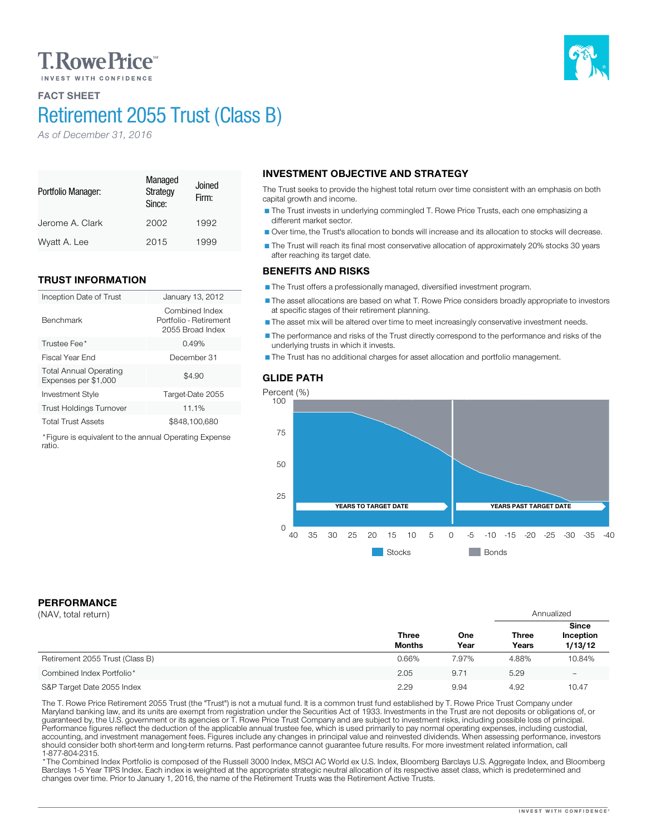# **T. Rowe Price**

## FACT SHEET

Portfolio Manager:

Benchmark

ratio.

# Retirement 2055 Trust (Class B)

Managed **Strategy** Since:

Jerome A. Clark 2002 1992 Wyatt A. Lee 2015 1999

Inception Date of Trust January 13, 2012

Investment Style Target-Date 2055 Trust Holdings Turnover 11.1% Total Trust Assets \$848,100,680 \*Figure is equivalent to the annual Operating Expense

Trustee Fee<sup>\*</sup> 0.49% Fiscal Year End December 31

Joined Firm:

Combined Index Portfolio - Retirement 2055 Broad Index

 $$4.90$ 

*As of December 31, 2016*

TRUST INFORMATION

Total Annual Operating Expenses per \$1,000

# INVESTMENT OBJECTIVE AND STRATEGY

The Trust seeks to provide the highest total return over time consistent with an emphasis on both capital growth and income.

The Trust invests in underlying commingled T. Rowe Price Trusts, each one emphasizing a different market sector.

Over time, the Trust's allocation to bonds will increase and its allocation to stocks will decrease.

The Trust will reach its final most conservative allocation of approximately 20% stocks 30 years after reaching its target date.

#### BENEFITS AND RISKS

The Trust offers a professionally managed, diversified investment program.

The asset allocations are based on what T. Rowe Price considers broadly appropriate to investors at specific stages of their retirement planning.

The asset mix will be altered over time to meet increasingly conservative investment needs.

The performance and risks of the Trust directly correspond to the performance and risks of the underlying trusts in which it invests.

The Trust has no additional charges for asset allocation and portfolio management.

### GLIDE PATH



# PERFORMANCE

| (NAV, total return)             |                               |             | Annualized            |                                      |
|---------------------------------|-------------------------------|-------------|-----------------------|--------------------------------------|
|                                 | <b>Three</b><br><b>Months</b> | One<br>Year | <b>Three</b><br>Years | <b>Since</b><br>Inception<br>1/13/12 |
| Retirement 2055 Trust (Class B) | 0.66%                         | 7.97%       | 4.88%                 | 10.84%                               |
| Combined Index Portfolio*       | 2.05                          | 9.71        | 5.29                  | $\overline{\phantom{0}}$             |
| S&P Target Date 2055 Index      | 2.29                          | 9.94        | 4.92                  | 10.47                                |

The T. Rowe Price Retirement 2055 Trust (the "Trust") is not a mutual fund. It is a common trust fund established by T. Rowe Price Trust Company under<br>Maryland banking law, and its units are exempt from registration under should consider both short-term and long-term returns. Past performance cannot guarantee future results. For more investment related information, call<br>1-877-804-2315.

\* The Combined Index Portfolio is composed of the Russell 3000 Index, MSCI AC World ex U.S. Index, Bloomberg Barclays U.S. Aggregate Index, and Bloomberg Barclays 1-5 Year TIPS Index. Each index is weighted at the appropriate strategic neutral allocation of its respective asset class, which is predetermined and changes over time. Prior to January 1, 2016, the name of the Retirement Trusts was the Retirement Active Trusts.

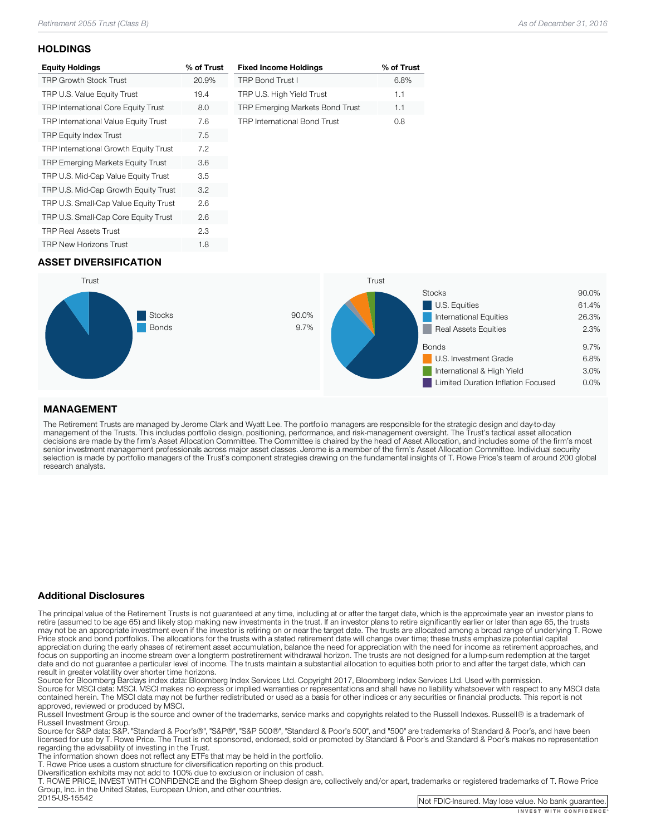#### **HOLDINGS**

| <b>Equity Holdings</b>                     | % of Trust |
|--------------------------------------------|------------|
| <b>TRP Growth Stock Trust</b>              | 20.9%      |
| TRP U.S. Value Equity Trust                | 19.4       |
| <b>TRP International Core Equity Trust</b> | 8.0        |
| TRP International Value Equity Trust       | 7.6        |
| <b>TRP Equity Index Trust</b>              | 7.5        |
| TRP International Growth Equity Trust      | 7.2        |
| TRP Emerging Markets Equity Trust          | 3.6        |
| TRP U.S. Mid-Cap Value Equity Trust        | 3.5        |
| TRP U.S. Mid-Cap Growth Equity Trust       | 3.2        |
| TRP U.S. Small-Cap Value Equity Trust      | 2.6        |
| TRP U.S. Small-Cap Core Equity Trust       | 2.6        |
| <b>TRP Real Assets Trust</b>               | 2.3        |
| <b>TRP New Horizons Trust</b>              | 1.8        |

| <b>Fixed Income Holdings</b>           | % of Trust |
|----------------------------------------|------------|
| <b>TRP Bond Trust I</b>                | 6.8%       |
| TRP U.S. High Yield Trust              | 1.1        |
| <b>TRP Emerging Markets Bond Trust</b> | 1.1        |
| <b>TRP International Bond Trust</b>    | nя         |

## ASSET DIVERSIFICATION



### MANAGEMENT

The Retirement Trusts are managed by Jerome Clark and Wyatt Lee. The portfolio managers are responsible for the strategic design and day-to-day<br>management of the Trusts. This includes portfolio design, positioning, perform research analysts.

#### Additional Disclosures

The principal value of the Retirement Trusts is not guaranteed at any time, including at or after the target date, which is the approximate year an investor plans to retire (assumed to be age 65) and likely stop making new may not be an appropriate investment even if the investor is retiring on or near the target date. The trusts are allocated among a broad range of underlying T. Rowe<br>Price stock and bond portfolios. The allocations for the focus on supporting an income stream over a longterm postretirement withdrawal horizon. The trusts are not designed for a lump-sum redemption at the target date and do not guarantee a particular level of income. The trusts maintain a substantial allocation to equities both prior to and after the target date, which can result in greater volatility over shorter time horizons.

Source for Bloomberg Barclays index data: Bloomberg Index Services Ltd. Copyright 2017, Bloomberg Index Services Ltd. Used with permission.<br>Source for MSCI data: MSCI. MSCI makes no express or implied warranties or represe

approved, reviewed or produced by MSCI.<br>Russell Investment Group is the source and owner of the trademarks, service marks and copyrights related to the Russell Indexes. Russell® is a trademark of<br>Russell Investment Group.

Russell Investment Group. Source Group and Group", "Same Standard Group", "Standard Group", and "500" are trademarks of Standard & Poor's, and have been licensed for use by T. Rowe Price. The Trust is not sponsored, endorsed, sold or promoted by Standard & Poor's and Standard & Poor's makes no representation<br>regarding the advisability of investing in the Trust.

The information shown does not reflect any ETFs that may be held in the portfolio.<br>T. Rowe Price uses a custom structure for diversification reporting on this product.<br>Diversification exhibits may not add to 100% due to ex